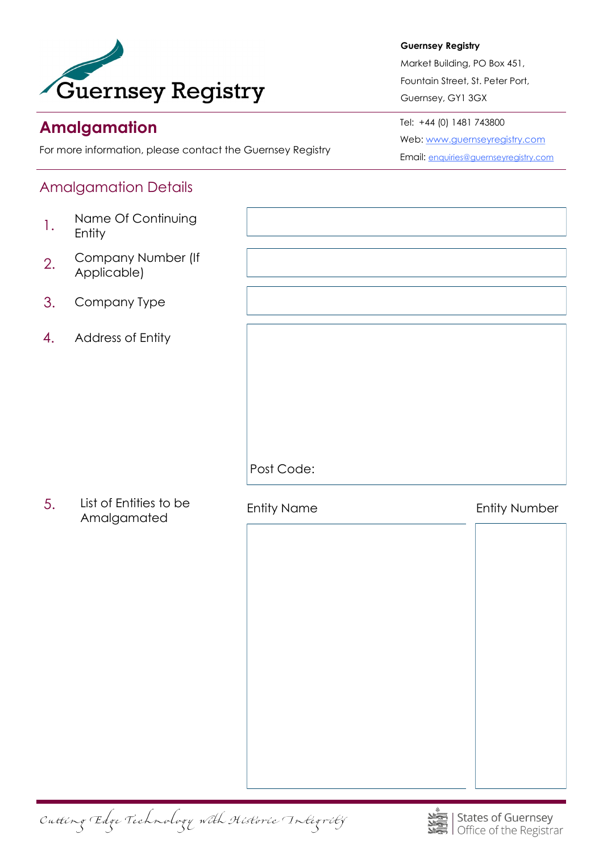

# **Amalgamation**

For more information, please contact the Guernsey Registry

## Amalgamation Details

- 1. Name Of Continuing Entity
- 2. Company Number (If Applicable)
- 3. Company Type
- 4. Address of Entity

List of Entities to be Amalgamated 5.

**Guernsey Registry** 

Market Building, PO Box 451, Fountain Street, St. Peter Port, Guernsey, GY1 3GX

Tel: +44 (0) 1481 743800 Web: [www.guernseyregistry.com](http://www.guernseyregistry.com) Email: [enquiries@guernseyregistry.com](mailto:enquiries@guernseyregistry.com)